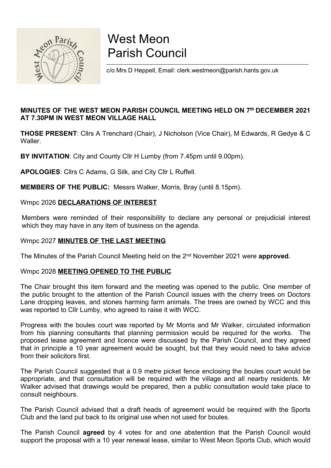

# West Meon Parish Council

c/o Mrs D Heppell, Email: clerk.westmeon@parish.hants.gov.uk

#### MINUTES OF THE WEST MEON PARISH COUNCIL MEETING HELD ON 7th DECEMBER 2021 AT 7.30PM IN WEST MEON VILLAGE HALL

THOSE PRESENT: Cllrs A Trenchard (Chair), J Nicholson (Vice Chair), M Edwards, R Gedye & C **Waller** 

BY INVITATION: City and County Cllr H Lumby (from 7.45pm until 9.00pm).

APOLOGIES: Cllrs C Adams, G Silk, and City Cllr L Ruffell.

MEMBERS OF THE PUBLIC: Messrs Walker, Morris, Bray (until 8.15pm).

#### Wmpc 2026 DECLARATIONS OF INTEREST

Members were reminded of their responsibility to declare any personal or prejudicial interest which they may have in any item of business on the agenda.

#### Wmpc 2027 MINUTES OF THE LAST MEETING

The Minutes of the Parish Council Meeting held on the 2<sup>nd</sup> November 2021 were approved.

#### Wmpc 2028 MEETING OPENED TO THE PUBLIC

The Chair brought this item forward and the meeting was opened to the public. One member of the public brought to the attention of the Parish Council issues with the cherry trees on Doctors Lane dropping leaves, and stones harming farm animals. The trees are owned by WCC and this was reported to Cllr Lumby, who agreed to raise it with WCC.

Progress with the boules court was reported by Mr Morris and Mr Walker, circulated information from his planning consultants that planning permission would be required for the works. The proposed lease agreement and licence were discussed by the Parish Council, and they agreed that in principle a 10 year agreement would be sought, but that they would need to take advice from their solicitors first.

The Parish Council suggested that a 0.9 metre picket fence enclosing the boules court would be appropriate, and that consultation will be required with the village and all nearby residents. Mr Walker advised that drawings would be prepared, then a public consultation would take place to consult neighbours.

The Parish Council advised that a draft heads of agreement would be required with the Sports Club and the land put back to its original use when not used for boules.

The Parish Council **agreed** by 4 votes for and one abstention that the Parish Council would support the proposal with a 10 year renewal lease, similar to West Meon Sports Club, which would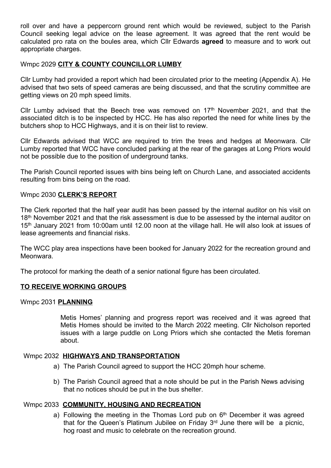roll over and have a peppercorn ground rent which would be reviewed, subject to the Parish Council seeking legal advice on the lease agreement. It was agreed that the rent would be calculated pro rata on the boules area, which Cllr Edwards agreed to measure and to work out appropriate charges.

#### Wmpc 2029 CITY & COUNTY COUNCILLOR LUMBY

Cllr Lumby had provided a report which had been circulated prior to the meeting (Appendix A). He advised that two sets of speed cameras are being discussed, and that the scrutiny committee are getting views on 20 mph speed limits.

Cllr Lumby advised that the Beech tree was removed on  $17<sup>th</sup>$  November 2021, and that the associated ditch is to be inspected by HCC. He has also reported the need for white lines by the butchers shop to HCC Highways, and it is on their list to review.

Cllr Edwards advised that WCC are required to trim the trees and hedges at Meonwara. Cllr Lumby reported that WCC have concluded parking at the rear of the garages at Long Priors would not be possible due to the position of underground tanks.

The Parish Council reported issues with bins being left on Church Lane, and associated accidents resulting from bins being on the road.

#### Wmpc 2030 CLERK'S REPORT

The Clerk reported that the half year audit has been passed by the internal auditor on his visit on 18<sup>th</sup> November 2021 and that the risk assessment is due to be assessed by the internal auditor on 15th January 2021 from 10:00am until 12.00 noon at the village hall. He will also look at issues of lease agreements and financial risks.

The WCC play area inspections have been booked for January 2022 for the recreation ground and Meonwara.

The protocol for marking the death of a senior national figure has been circulated.

#### TO RECEIVE WORKING GROUPS

#### Wmpc 2031 PLANNING

Metis Homes' planning and progress report was received and it was agreed that Metis Homes should be invited to the March 2022 meeting. Cllr Nicholson reported issues with a large puddle on Long Priors which she contacted the Metis foreman about.

#### Wmpc 2032 HIGHWAYS AND TRANSPORTATION

- a) The Parish Council agreed to support the HCC 20mph hour scheme.
- b) The Parish Council agreed that a note should be put in the Parish News advising that no notices should be put in the bus shelter.

#### Wmpc 2033 COMMUNITY, HOUSING AND RECREATION

a) Following the meeting in the Thomas Lord pub on  $6<sup>th</sup>$  December it was agreed that for the Queen's Platinum Jubilee on Friday  $3<sup>rd</sup>$  June there will be a picnic. hog roast and music to celebrate on the recreation ground.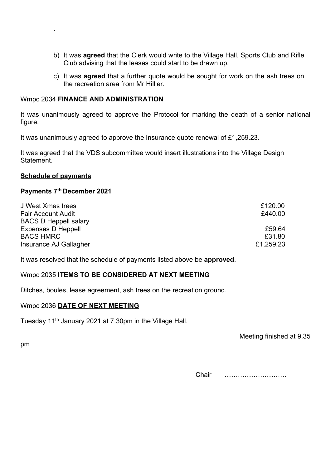- b) It was **agreed** that the Clerk would write to the Village Hall, Sports Club and Rifle Club advising that the leases could start to be drawn up.
- c) It was agreed that a further quote would be sought for work on the ash trees on the recreation area from Mr Hillier.

#### Wmpc 2034 FINANCE AND ADMINISTRATION

It was unanimously agreed to approve the Protocol for marking the death of a senior national figure.

It was unanimously agreed to approve the Insurance quote renewal of £1,259.23.

It was agreed that the VDS subcommittee would insert illustrations into the Village Design Statement.

#### Schedule of payments

.

#### Payments 7th December 2021

| J West Xmas trees            | £120.00   |
|------------------------------|-----------|
| <b>Fair Account Audit</b>    | £440.00   |
| <b>BACS D Heppell salary</b> |           |
| <b>Expenses D Heppell</b>    | £59.64    |
| <b>BACS HMRC</b>             | £31.80    |
| Insurance AJ Gallagher       | £1,259.23 |

It was resolved that the schedule of payments listed above be approved.

#### Wmpc 2035 ITEMS TO BE CONSIDERED AT NEXT MEETING

Ditches, boules, lease agreement, ash trees on the recreation ground.

#### Wmpc 2036 DATE OF NEXT MEETING

Tuesday 11<sup>th</sup> January 2021 at 7.30pm in the Village Hall.

Meeting finished at 9.35

pm

Chair ……………………….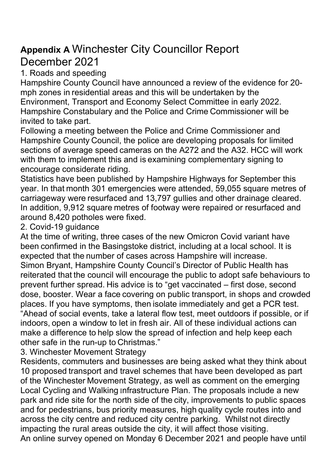# Appendix A Winchester City Councillor Report December 2021

1. Roads and speeding

Hampshire County Council have announced a review of the evidence for 20 mph zones in residential areas and this will be undertaken by the Environment, Transport and Economy Select Committee in early 2022. Hampshire Constabulary and the Police and Crime Commissioner will be invited to take part.

Following a meeting between the Police and Crime Commissioner and Hampshire County Council, the police are developing proposals for limited sections of average speed cameras on the A272 and the A32. HCC will work with them to implement this and is examining complementary signing to encourage considerate riding.

Statistics have been published by Hampshire Highways for September this year. In that month 301 emergencies were attended, 59,055 square metres of carriageway were resurfaced and 13,797 gullies and other drainage cleared. In addition, 9,912 square metres of footway were repaired or resurfaced and around 8,420 potholes were fixed.

2. Covid-19 guidance

At the time of writing, three cases of the new Omicron Covid variant have been confirmed in the Basingstoke district, including at a local school. It is expected that the number of cases across Hampshire will increase. Simon Bryant, Hampshire County Council's Director of Public Health has reiterated that the council will encourage the public to adopt safe behaviours to prevent further spread. His advice is to "get vaccinated – first dose, second dose, booster. Wear a face covering on public transport, in shops and crowded places. If you have symptoms, then isolate immediately and get a PCR test. "Ahead of social events, take a lateral flow test, meet outdoors if possible, or if indoors, open a window to let in fresh air. All of these individual actions can make a difference to help slow the spread of infection and help keep each other safe in the run-up to Christmas."

3. Winchester Movement Strategy

Residents, commuters and businesses are being asked what they think about 10 proposed transport and travel schemes that have been developed as part of the Winchester Movement Strategy, as well as comment on the emerging Local Cycling and Walking Infrastructure Plan. The proposals include a new park and ride site for the north side of the city, improvements to public spaces and for pedestrians, bus priority measures, high quality cycle routes into and across the city centre and reduced city centre parking. Whilst not directly impacting the rural areas outside the city, it will affect those visiting. An online survey opened on Monday 6 December 2021 and people have until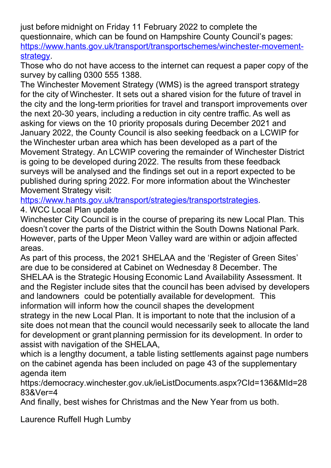just before midnight on Friday 11 February 2022 to complete the questionnaire, which can be found on Hampshire County Council's pages: https://www.hants.gov.uk/transport/transportschemes/winchester-movementstrategy.

Those who do not have access to the internet can request a paper copy of the survey by calling 0300 555 1388.

The Winchester Movement Strategy (WMS) is the agreed transport strategy for the city of Winchester. It sets out a shared vision for the future of travel in the city and the long-term priorities for travel and transport improvements over the next 20-30 years, including a reduction in city centre traffic. As well as asking for views on the 10 priority proposals during December 2021 and January 2022, the County Council is also seeking feedback on a LCWIP for the Winchester urban area which has been developed as a part of the Movement Strategy. An LCWIP covering the remainder of Winchester District is going to be developed during 2022. The results from these feedback surveys will be analysed and the findings set out in a report expected to be published during spring 2022. For more information about the Winchester Movement Strategy visit:

https://www.hants.gov.uk/transport/strategies/transportstrategies.

4. WCC Local Plan update

Winchester City Council is in the course of preparing its new Local Plan. This doesn't cover the parts of the District within the South Downs National Park. However, parts of the Upper Meon Valley ward are within or adjoin affected areas.

As part of this process, the 2021 SHELAA and the 'Register of Green Sites' are due to be considered at Cabinet on Wednesday 8 December. The SHELAA is the Strategic Housing Economic Land Availability Assessment. It and the Register include sites that the council has been advised by developers and landowners could be potentially available for development. This information will inform how the council shapes the development strategy in the new Local Plan. It is important to note that the inclusion of a site does not mean that the council would necessarily seek to allocate the land for development or grant planning permission for its development. In order to assist with navigation of the SHELAA,

which is a lengthy document, a table listing settlements against page numbers on the cabinet agenda has been included on page 43 of the supplementary agenda item

https:/democracy.winchester.gov.uk/ieListDocuments.aspx?CId=136&MId=28 83&Ver=4

And finally, best wishes for Christmas and the New Year from us both.

Laurence Ruffell Hugh Lumby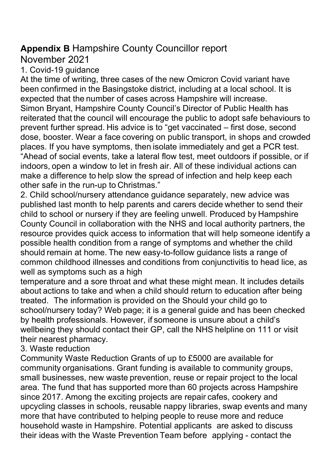## Appendix B Hampshire County Councillor report

November 2021

1. Covid-19 guidance

At the time of writing, three cases of the new Omicron Covid variant have been confirmed in the Basingstoke district, including at a local school. It is expected that the number of cases across Hampshire will increase. Simon Bryant, Hampshire County Council's Director of Public Health has reiterated that the council will encourage the public to adopt safe behaviours to prevent further spread. His advice is to "get vaccinated – first dose, second dose, booster. Wear a face covering on public transport, in shops and crowded places. If you have symptoms, then isolate immediately and get a PCR test. "Ahead of social events, take a lateral flow test, meet outdoors if possible, or if indoors, open a window to let in fresh air. All of these individual actions can make a difference to help slow the spread of infection and help keep each other safe in the run-up to Christmas."

2. Child school/nursery attendance guidance separately, new advice was published last month to help parents and carers decide whether to send their child to school or nursery if they are feeling unwell. Produced by Hampshire County Council in collaboration with the NHS and local authority partners, the resource provides quick access to information that will help someone identify a possible health condition from a range of symptoms and whether the child should remain at home. The new easy-to-follow guidance lists a range of common childhood illnesses and conditions from conjunctivitis to head lice, as well as symptoms such as a high

temperature and a sore throat and what these might mean. It includes details about actions to take and when a child should return to education after being treated. The information is provided on the Should your child go to school/nursery today? Web page; it is a general guide and has been checked by health professionals. However, if someone is unsure about a child's wellbeing they should contact their GP, call the NHS helpline on 111 or visit their nearest pharmacy.

3. Waste reduction

Community Waste Reduction Grants of up to £5000 are available for community organisations. Grant funding is available to community groups, small businesses, new waste prevention, reuse or repair project to the local area. The fund that has supported more than 60 projects across Hampshire since 2017. Among the exciting projects are repair cafes, cookery and upcycling classes in schools, reusable nappy libraries, swap events and many more that have contributed to helping people to reuse more and reduce household waste in Hampshire. Potential applicants are asked to discuss their ideas with the Waste Prevention Team before applying - contact the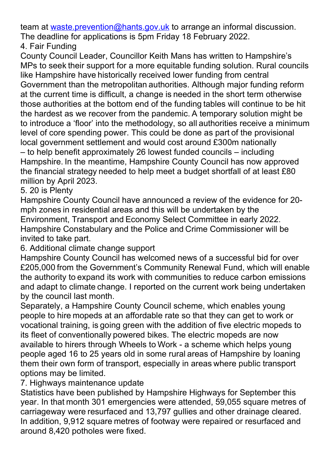team at waste prevention@hants.gov.uk to arrange an informal discussion. The deadline for applications is 5pm Friday 18 February 2022.

## 4. Fair Funding

County Council Leader, Councillor Keith Mans has written to Hampshire's MPs to seek their support for a more equitable funding solution. Rural councils like Hampshire have historically received lower funding from central Government than the metropolitan authorities. Although major funding reform at the current time is difficult, a change is needed in the short term otherwise those authorities at the bottom end of the funding tables will continue to be hit the hardest as we recover from the pandemic. A temporary solution might be to introduce a 'floor' into the methodology, so all authorities receive a minimum level of core spending power. This could be done as part of the provisional local government settlement and would cost around £300m nationally – to help benefit approximately 26 lowest funded councils – including Hampshire. In the meantime, Hampshire County Council has now approved the financial strategy needed to help meet a budget shortfall of at least £80 million by April 2023.

## 5. 20 is Plenty

Hampshire County Council have announced a review of the evidence for 20 mph zones in residential areas and this will be undertaken by the Environment, Transport and Economy Select Committee in early 2022. Hampshire Constabulary and the Police and Crime Commissioner will be invited to take part.

6. Additional climate change support

Hampshire County Council has welcomed news of a successful bid for over £205,000 from the Government's Community Renewal Fund, which will enable the authority to expand its work with communities to reduce carbon emissions and adapt to climate change. I reported on the current work being undertaken by the council last month.

Separately, a Hampshire County Council scheme, which enables young people to hire mopeds at an affordable rate so that they can get to work or vocational training, is going green with the addition of five electric mopeds to its fleet of conventionally powered bikes. The electric mopeds are now available to hirers through Wheels to Work - a scheme which helps young people aged 16 to 25 years old in some rural areas of Hampshire by loaning them their own form of transport, especially in areas where public transport options may be limited.

## 7. Highways maintenance update

Statistics have been published by Hampshire Highways for September this year. In that month 301 emergencies were attended, 59,055 square metres of carriageway were resurfaced and 13,797 gullies and other drainage cleared. In addition, 9,912 square metres of footway were repaired or resurfaced and around 8,420 potholes were fixed.